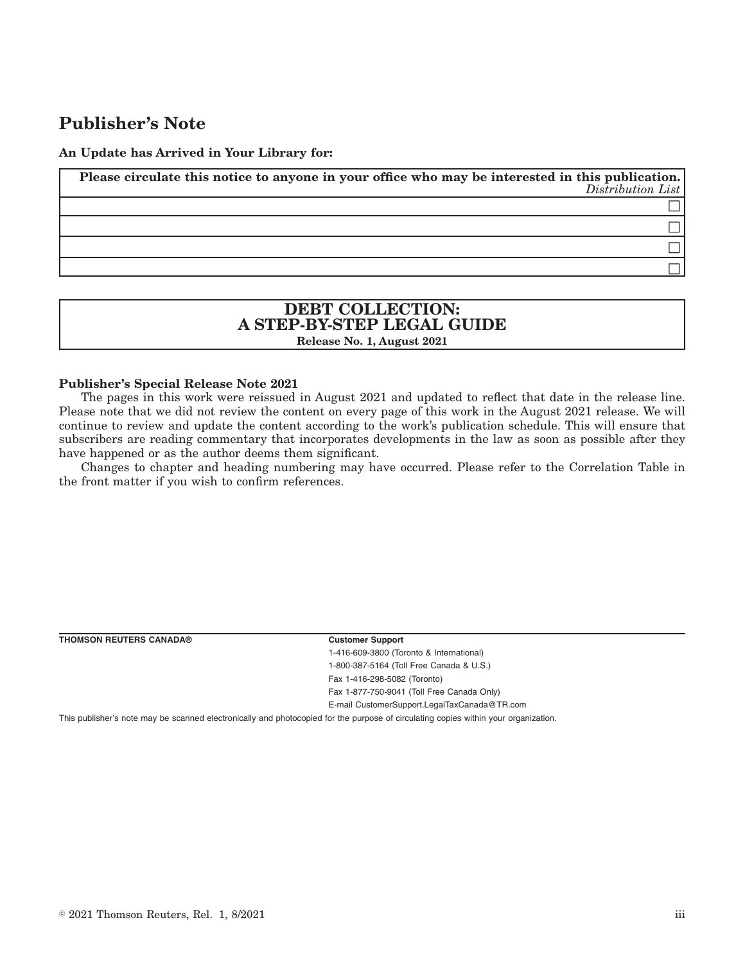# **Publisher's Note**

**An Update has Arrived in Your Library for:**

**Please circulate this notice to anyone in your office who may be interested in this publication.** *Distribution List*  $\Box$  $\Box$  $\Box$  $\Box$ 

## **DEBT COLLECTION: A STEP-BY-STEP LEGAL GUIDE Release No. 1, August 2021**

#### **Publisher's Special Release Note 2021**

The pages in this work were reissued in August 2021 and updated to reflect that date in the release line. Please note that we did not review the content on every page of this work in the August 2021 release. We will continue to review and update the content according to the work's publication schedule. This will ensure that subscribers are reading commentary that incorporates developments in the law as soon as possible after they have happened or as the author deems them significant.

Changes to chapter and heading numbering may have occurred. Please refer to the Correlation Table in the front matter if you wish to confirm references.

| <b>THOMSON REUTERS CANADA®</b> | <b>Customer Support</b>                      |  |
|--------------------------------|----------------------------------------------|--|
|                                | 1-416-609-3800 (Toronto & International)     |  |
|                                | 1-800-387-5164 (Toll Free Canada & U.S.)     |  |
|                                | Fax 1-416-298-5082 (Toronto)                 |  |
|                                | Fax 1-877-750-9041 (Toll Free Canada Only)   |  |
|                                | E-mail CustomerSupport.LegalTaxCanada@TR.com |  |

This publisher's note may be scanned electronically and photocopied for the purpose of circulating copies within your organization.